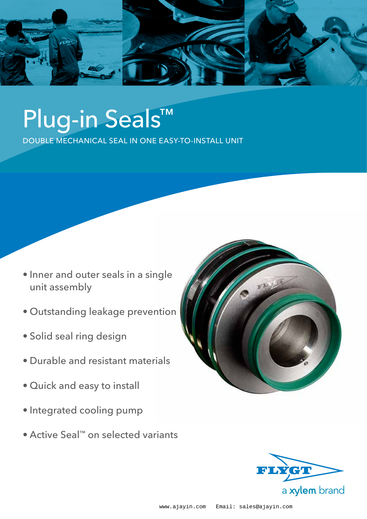

# Plug-in Seals™

Double mechanical seal in one easy-to-install unit

- Inner and outer seals in a single unit assembly
- • Outstanding leakage prevention
- • Solid seal ring design
- • Durable and resistant materials
- • Quick and easy to install
- · Integrated cooling pump
- Active Seal™ on selected variants